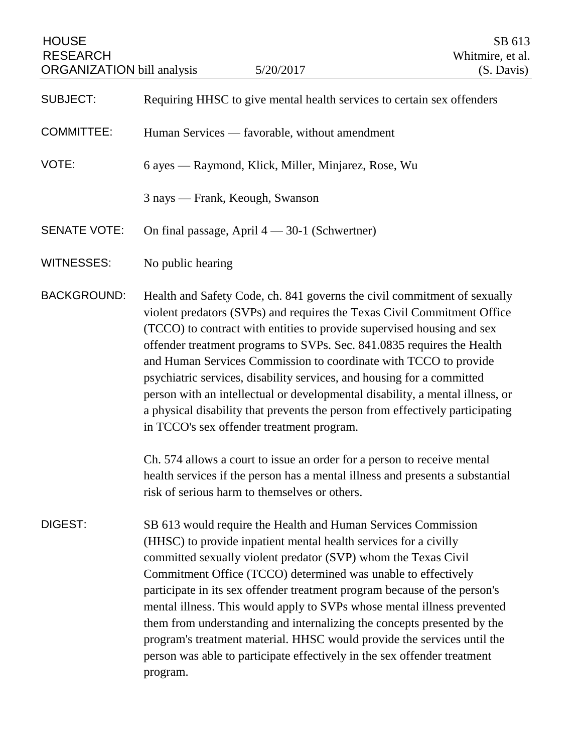| <b>HOUSE</b><br><b>RESEARCH</b><br><b>ORGANIZATION</b> bill analysis | 5/20/2017                                                                                                                                                                                                                                                                                                                                                                                                                                                                                                                                                                                                                                                                  | SB 613<br>Whitmire, et al.<br>(S. Davis) |
|----------------------------------------------------------------------|----------------------------------------------------------------------------------------------------------------------------------------------------------------------------------------------------------------------------------------------------------------------------------------------------------------------------------------------------------------------------------------------------------------------------------------------------------------------------------------------------------------------------------------------------------------------------------------------------------------------------------------------------------------------------|------------------------------------------|
| <b>SUBJECT:</b>                                                      | Requiring HHSC to give mental health services to certain sex offenders                                                                                                                                                                                                                                                                                                                                                                                                                                                                                                                                                                                                     |                                          |
| <b>COMMITTEE:</b>                                                    | Human Services — favorable, without amendment                                                                                                                                                                                                                                                                                                                                                                                                                                                                                                                                                                                                                              |                                          |
| VOTE:                                                                | 6 ayes — Raymond, Klick, Miller, Minjarez, Rose, Wu                                                                                                                                                                                                                                                                                                                                                                                                                                                                                                                                                                                                                        |                                          |
|                                                                      | 3 nays — Frank, Keough, Swanson                                                                                                                                                                                                                                                                                                                                                                                                                                                                                                                                                                                                                                            |                                          |
| <b>SENATE VOTE:</b>                                                  | On final passage, April $4 - 30-1$ (Schwertner)                                                                                                                                                                                                                                                                                                                                                                                                                                                                                                                                                                                                                            |                                          |
| <b>WITNESSES:</b>                                                    | No public hearing                                                                                                                                                                                                                                                                                                                                                                                                                                                                                                                                                                                                                                                          |                                          |
| <b>BACKGROUND:</b>                                                   | Health and Safety Code, ch. 841 governs the civil commitment of sexually<br>violent predators (SVPs) and requires the Texas Civil Commitment Office<br>(TCCO) to contract with entities to provide supervised housing and sex<br>offender treatment programs to SVPs. Sec. 841.0835 requires the Health<br>and Human Services Commission to coordinate with TCCO to provide<br>psychiatric services, disability services, and housing for a committed<br>person with an intellectual or developmental disability, a mental illness, or<br>a physical disability that prevents the person from effectively participating<br>in TCCO's sex offender treatment program.       |                                          |
|                                                                      | Ch. 574 allows a court to issue an order for a person to receive mental<br>health services if the person has a mental illness and presents a substantial<br>risk of serious harm to themselves or others.                                                                                                                                                                                                                                                                                                                                                                                                                                                                  |                                          |
| DIGEST:                                                              | SB 613 would require the Health and Human Services Commission<br>(HHSC) to provide inpatient mental health services for a civilly<br>committed sexually violent predator (SVP) whom the Texas Civil<br>Commitment Office (TCCO) determined was unable to effectively<br>participate in its sex offender treatment program because of the person's<br>mental illness. This would apply to SVPs whose mental illness prevented<br>them from understanding and internalizing the concepts presented by the<br>program's treatment material. HHSC would provide the services until the<br>person was able to participate effectively in the sex offender treatment<br>program. |                                          |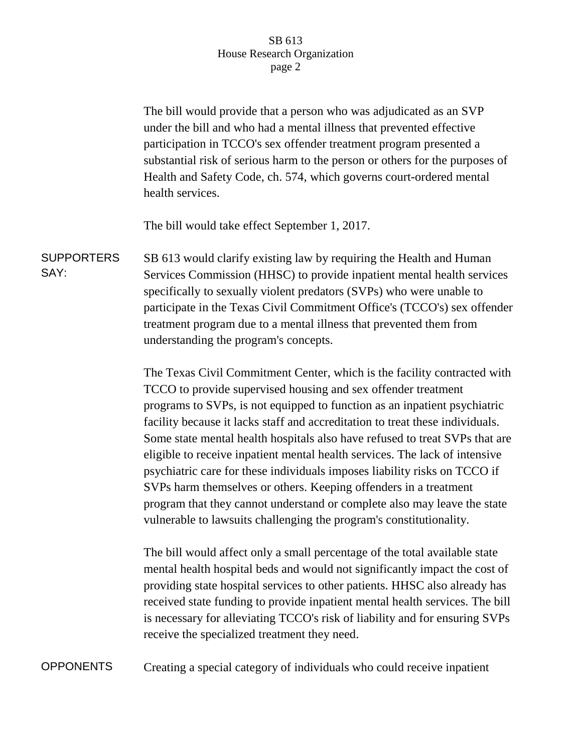## SB 613 House Research Organization page 2

The bill would provide that a person who was adjudicated as an SVP under the bill and who had a mental illness that prevented effective participation in TCCO's sex offender treatment program presented a substantial risk of serious harm to the person or others for the purposes of Health and Safety Code, ch. 574, which governs court-ordered mental health services.

The bill would take effect September 1, 2017.

**SUPPORTERS** SAY: SB 613 would clarify existing law by requiring the Health and Human Services Commission (HHSC) to provide inpatient mental health services specifically to sexually violent predators (SVPs) who were unable to participate in the Texas Civil Commitment Office's (TCCO's) sex offender treatment program due to a mental illness that prevented them from understanding the program's concepts.

> The Texas Civil Commitment Center, which is the facility contracted with TCCO to provide supervised housing and sex offender treatment programs to SVPs, is not equipped to function as an inpatient psychiatric facility because it lacks staff and accreditation to treat these individuals. Some state mental health hospitals also have refused to treat SVPs that are eligible to receive inpatient mental health services. The lack of intensive psychiatric care for these individuals imposes liability risks on TCCO if SVPs harm themselves or others. Keeping offenders in a treatment program that they cannot understand or complete also may leave the state vulnerable to lawsuits challenging the program's constitutionality.

> The bill would affect only a small percentage of the total available state mental health hospital beds and would not significantly impact the cost of providing state hospital services to other patients. HHSC also already has received state funding to provide inpatient mental health services. The bill is necessary for alleviating TCCO's risk of liability and for ensuring SVPs receive the specialized treatment they need.

OPPONENTS Creating a special category of individuals who could receive inpatient